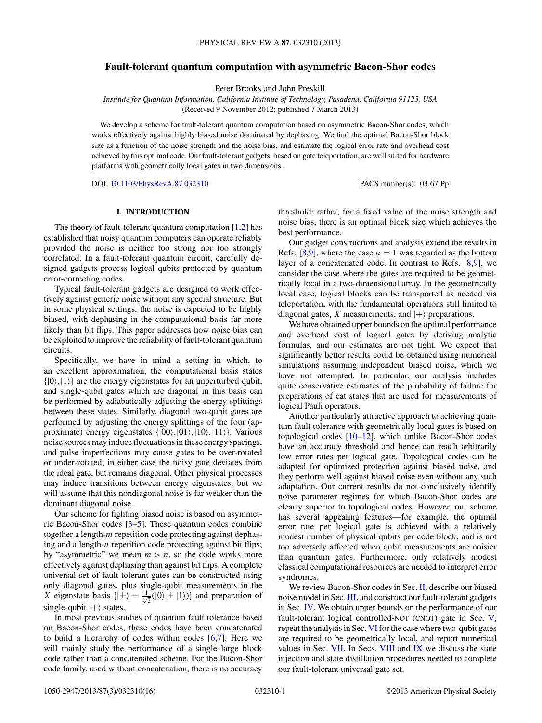# **Fault-tolerant quantum computation with asymmetric Bacon-Shor codes**

Peter Brooks and John Preskill

*Institute for Quantum Information, California Institute of Technology, Pasadena, California 91125, USA* (Received 9 November 2012; published 7 March 2013)

We develop a scheme for fault-tolerant quantum computation based on asymmetric Bacon-Shor codes, which works effectively against highly biased noise dominated by dephasing. We find the optimal Bacon-Shor block size as a function of the noise strength and the noise bias, and estimate the logical error rate and overhead cost achieved by this optimal code. Our fault-tolerant gadgets, based on gate teleportation, are well suited for hardware platforms with geometrically local gates in two dimensions.

DOI: [10.1103/PhysRevA.87.032310](http://dx.doi.org/10.1103/PhysRevA.87.032310) PACS number(s): 03*.*67*.*Pp

#### **I. INTRODUCTION**

The theory of fault-tolerant quantum computation  $[1,2]$  has established that noisy quantum computers can operate reliably provided the noise is neither too strong nor too strongly correlated. In a fault-tolerant quantum circuit, carefully designed gadgets process logical qubits protected by quantum error-correcting codes.

Typical fault-tolerant gadgets are designed to work effectively against generic noise without any special structure. But in some physical settings, the noise is expected to be highly biased, with dephasing in the computational basis far more likely than bit flips. This paper addresses how noise bias can be exploited to improve the reliability of fault-tolerant quantum circuits.

Specifically, we have in mind a setting in which, to an excellent approximation, the computational basis states  $\{|0\rangle, |1\rangle\}$  are the energy eigenstates for an unperturbed qubit, and single-qubit gates which are diagonal in this basis can be performed by adiabatically adjusting the energy splittings between these states. Similarly, diagonal two-qubit gates are performed by adjusting the energy splittings of the four (approximate) energy eigenstates  $\{|00\rangle, |01\rangle, |10\rangle, |11\rangle\}$ . Various noise sources may induce fluctuations in these energy spacings, and pulse imperfections may cause gates to be over-rotated or under-rotated; in either case the noisy gate deviates from the ideal gate, but remains diagonal. Other physical processes may induce transitions between energy eigenstates, but we will assume that this nondiagonal noise is far weaker than the dominant diagonal noise.

Our scheme for fighting biased noise is based on asymmetric Bacon-Shor codes [\[3–](#page-14-0)[5\]](#page-15-0). These quantum codes combine together a length-*m* repetition code protecting against dephasing and a length-*n* repetition code protecting against bit flips; by "asymmetric" we mean  $m > n$ , so the code works more effectively against dephasing than against bit flips. A complete universal set of fault-tolerant gates can be constructed using only diagonal gates, plus single-qubit measurements in the *X* eigenstate basis  $\{|\pm\rangle = \frac{1}{\sqrt{2}}\}$  $\frac{1}{2}(|0\rangle \pm |1\rangle)$ } and preparation of  $single-qubit$   $|+\rangle$  states.

In most previous studies of quantum fault tolerance based on Bacon-Shor codes, these codes have been concatenated to build a hierarchy of codes within codes [\[6,7\]](#page-15-0). Here we will mainly study the performance of a single large block code rather than a concatenated scheme. For the Bacon-Shor code family, used without concatenation, there is no accuracy threshold; rather, for a fixed value of the noise strength and noise bias, there is an optimal block size which achieves the best performance.

Our gadget constructions and analysis extend the results in Refs.  $[8,9]$ , where the case  $n = 1$  was regarded as the bottom layer of a concatenated code. In contrast to Refs. [\[8,9\]](#page-15-0), we consider the case where the gates are required to be geometrically local in a two-dimensional array. In the geometrically local case, logical blocks can be transported as needed via teleportation, with the fundamental operations still limited to diagonal gates,  $X$  measurements, and  $|+\rangle$  preparations.

We have obtained upper bounds on the optimal performance and overhead cost of logical gates by deriving analytic formulas, and our estimates are not tight. We expect that significantly better results could be obtained using numerical simulations assuming independent biased noise, which we have not attempted. In particular, our analysis includes quite conservative estimates of the probability of failure for preparations of cat states that are used for measurements of logical Pauli operators.

Another particularly attractive approach to achieving quantum fault tolerance with geometrically local gates is based on topological codes  $[10-12]$ , which unlike Bacon-Shor codes have an accuracy threshold and hence can reach arbitrarily low error rates per logical gate. Topological codes can be adapted for optimized protection against biased noise, and they perform well against biased noise even without any such adaptation. Our current results do not conclusively identify noise parameter regimes for which Bacon-Shor codes are clearly superior to topological codes. However, our scheme has several appealing features—for example, the optimal error rate per logical gate is achieved with a relatively modest number of physical qubits per code block, and is not too adversely affected when qubit measurements are noisier than quantum gates. Furthermore, only relatively modest classical computational resources are needed to interpret error syndromes.

We review Bacon-Shor codes in Sec. [II,](#page-1-0) describe our biased noise model in Sec. [III,](#page-1-0) and construct our fault-tolerant gadgets in Sec. [IV.](#page-1-0) We obtain upper bounds on the performance of our fault-tolerant logical controlled-NOT (CNOT) gate in Sec. [V,](#page-5-0) repeat the analysis in Sec. [VI](#page-8-0) for the case where two-qubit gates are required to be geometrically local, and report numerical values in Sec. [VII.](#page-10-0) In Secs. [VIII](#page-12-0) and [IX](#page-13-0) we discuss the state injection and state distillation procedures needed to complete our fault-tolerant universal gate set.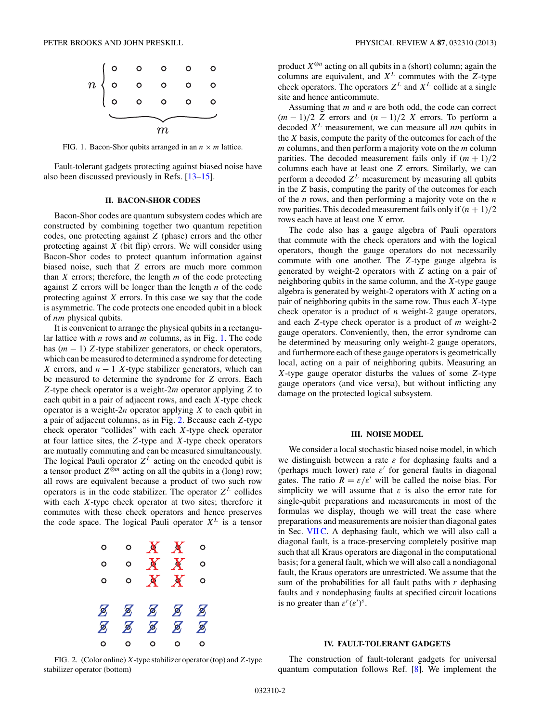<span id="page-1-0"></span>

FIG. 1. Bacon-Shor qubits arranged in an  $n \times m$  lattice.

Fault-tolerant gadgets protecting against biased noise have also been discussed previously in Refs. [\[13–15\]](#page-15-0).

## **II. BACON-SHOR CODES**

Bacon-Shor codes are quantum subsystem codes which are constructed by combining together two quantum repetition codes, one protecting against *Z* (phase) errors and the other protecting against *X* (bit flip) errors. We will consider using Bacon-Shor codes to protect quantum information against biased noise, such that *Z* errors are much more common than *X* errors; therefore, the length *m* of the code protecting against *Z* errors will be longer than the length *n* of the code protecting against *X* errors. In this case we say that the code is asymmetric. The code protects one encoded qubit in a block of *nm* physical qubits.

It is convenient to arrange the physical qubits in a rectangular lattice with *n* rows and *m* columns, as in Fig. 1. The code has (*m* − 1) *Z*-type stabilizer generators, or check operators, which can be measured to determined a syndrome for detecting *X* errors, and  $n - 1$  *X*-type stabilizer generators, which can be measured to determine the syndrome for *Z* errors. Each *Z*-type check operator is a weight-2*m* operator applying *Z* to each qubit in a pair of adjacent rows, and each *X*-type check operator is a weight-2*n* operator applying *X* to each qubit in a pair of adjacent columns, as in Fig. 2. Because each *Z*-type check operator "collides" with each *X*-type check operator at four lattice sites, the *Z*-type and *X*-type check operators are mutually commuting and can be measured simultaneously. The logical Pauli operator  $Z^L$  acting on the encoded qubit is a tensor product  $Z^{\hat{\otimes}m}$  acting on all the qubits in a (long) row; all rows are equivalent because a product of two such row operators is in the code stabilizer. The operator  $Z^L$  collides with each *X*-type check operator at two sites; therefore it commutes with these check operators and hence preserves the code space. The logical Pauli operator *X<sup>L</sup>* is a tensor



product  $X^{\otimes n}$  acting on all qubits in a (short) column; again the columns are equivalent, and *X<sup>L</sup>* commutes with the *Z*-type check operators. The operators  $Z^L$  and  $X^L$  collide at a single site and hence anticommute.

Assuming that *m* and *n* are both odd, the code can correct  $(m-1)/2$  *Z* errors and  $(n-1)/2$  *X* errors. To perform a decoded *X<sup>L</sup>* measurement, we can measure all *nm* qubits in the *X* basis, compute the parity of the outcomes for each of the *m* columns, and then perform a majority vote on the *m* column parities. The decoded measurement fails only if  $(m + 1)/2$ columns each have at least one *Z* errors. Similarly, we can perform a decoded  $Z^L$  measurement by measuring all qubits in the *Z* basis, computing the parity of the outcomes for each of the *n* rows, and then performing a majority vote on the *n* row parities. This decoded measurement fails only if  $(n + 1)/2$ rows each have at least one *X* error.

The code also has a gauge algebra of Pauli operators that commute with the check operators and with the logical operators, though the gauge operators do not necessarily commute with one another. The *Z*-type gauge algebra is generated by weight-2 operators with *Z* acting on a pair of neighboring qubits in the same column, and the *X*-type gauge algebra is generated by weight-2 operators with *X* acting on a pair of neighboring qubits in the same row. Thus each *X*-type check operator is a product of *n* weight-2 gauge operators, and each *Z*-type check operator is a product of *m* weight-2 gauge operators. Conveniently, then, the error syndrome can be determined by measuring only weight-2 gauge operators, and furthermore each of these gauge operators is geometrically local, acting on a pair of neighboring qubits. Measuring an *X*-type gauge operator disturbs the values of some *Z*-type gauge operators (and vice versa), but without inflicting any damage on the protected logical subsystem.

#### **III. NOISE MODEL**

We consider a local stochastic biased noise model, in which we distinguish between a rate *ε* for dephasing faults and a (perhaps much lower) rate  $\varepsilon'$  for general faults in diagonal gates. The ratio  $R = \varepsilon/\varepsilon'$  will be called the noise bias. For simplicity we will assume that  $\varepsilon$  is also the error rate for single-qubit preparations and measurements in most of the formulas we display, though we will treat the case where preparations and measurements are noisier than diagonal gates in Sec. VIIC. A dephasing fault, which we will also call a diagonal fault, is a trace-preserving completely positive map such that all Kraus operators are diagonal in the computational basis; for a general fault, which we will also call a nondiagonal fault, the Kraus operators are unrestricted. We assume that the sum of the probabilities for all fault paths with *r* dephasing faults and *s* nondephasing faults at specified circuit locations is no greater than  $\varepsilon^r(\varepsilon')^s$ .

## **IV. FAULT-TOLERANT GADGETS**

FIG. 2. (Color online) *X*-type stabilizer operator (top) and*Z*-type stabilizer operator (bottom)

The construction of fault-tolerant gadgets for universal quantum computation follows Ref. [\[8\]](#page-15-0). We implement the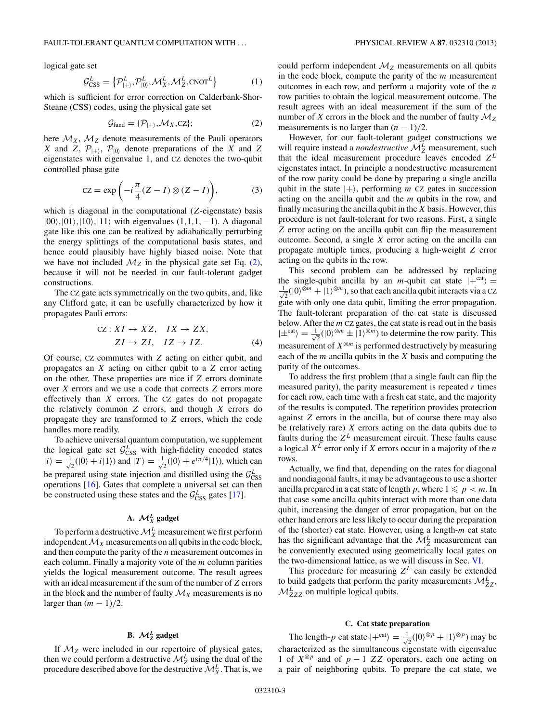logical gate set

$$
\mathcal{G}_{\text{CSS}}^L = \left\{ \mathcal{P}_{\vert + \rangle}^L, \mathcal{P}_{\vert 0 \rangle}^L, \mathcal{M}_X^L, \mathcal{M}_Z^L, \text{CNOT}^L \right\} \tag{1}
$$

which is sufficient for error correction on Calderbank-Shor-Steane (CSS) codes, using the physical gate set

$$
\mathcal{G}_{\text{fund}} = \{ \mathcal{P}_{\vert + \rangle}, \mathcal{M}_X, \text{CZ} \};\tag{2}
$$

here  $\mathcal{M}_X$ ,  $\mathcal{M}_Z$  denote measurements of the Pauli operators *X* and *Z*,  $P_{|+}$ ,  $P_{|0\rangle}$  denote preparations of the *X* and *Z* eigenstates with eigenvalue 1, and CZ denotes the two-qubit controlled phase gate

$$
CZ = \exp\left(-i\frac{\pi}{4}(Z - I) \otimes (Z - I)\right),\tag{3}
$$

which is diagonal in the computational (*Z*-eigenstate) basis  $|00\rangle$ ,  $|01\rangle$ ,  $|10\rangle$ ,  $|11\rangle$  with eigenvalues (1,1,1, −1). A diagonal gate like this one can be realized by adiabatically perturbing the energy splittings of the computational basis states, and hence could plausibly have highly biased noise. Note that we have not included  $\mathcal{M}_Z$  in the physical gate set Eq. (2), because it will not be needed in our fault-tolerant gadget constructions.

The CZ gate acts symmetrically on the two qubits, and, like any Clifford gate, it can be usefully characterized by how it propagates Pauli errors:

$$
CZ: XI \to XZ, \quad IX \to ZX,
$$
  

$$
ZI \to ZI, \quad IZ \to IZ.
$$
 (4)

Of course, CZ commutes with *Z* acting on either qubit, and propagates an *X* acting on either qubit to a *Z* error acting on the other. These properties are nice if *Z* errors dominate over *X* errors and we use a code that corrects *Z* errors more effectively than *X* errors. The CZ gates do not propagate the relatively common *Z* errors, and though *X* errors do propagate they are transformed to *Z* errors, which the code handles more readily.

To achieve universal quantum computation, we supplement the logical gate set  $\mathcal{G}_{\text{CSS}}^L$  with high-fidelity encoded states  $|i\rangle = \frac{1}{\sqrt{2}}$  $\frac{1}{2}(|0\rangle + i|1\rangle)$  and  $|T\rangle = \frac{1}{\sqrt{2}}$  $\overline{z}$ (|0) +  $e^{i\pi/4}$ |1)), which can be prepared using state injection and distilled using the  $\mathcal{G}^L_{\text{CSS}}$ operations [\[16\]](#page-15-0). Gates that complete a universal set can then be constructed using these states and the  $\mathcal{G}_{\text{CSS}}^L$  gates [\[17\]](#page-15-0).

# A.  $\mathcal{M}_X^L$  gadget

To perform a destructive  $\mathcal{M}^L_X$  measurement we first perform independent  $\mathcal{M}_X$  measurements on all qubits in the code block, and then compute the parity of the *n* measurement outcomes in each column. Finally a majority vote of the *m* column parities yields the logical measurement outcome. The result agrees with an ideal measurement if the sum of the number of *Z* errors in the block and the number of faulty  $\mathcal{M}_X$  measurements is no larger than  $(m - 1)/2$ .

# **B.**  $\mathcal{M}_{Z}^{L}$  gadget

If M*<sup>Z</sup>* were included in our repertoire of physical gates, then we could perform a destructive  $\mathcal{M}_Z^L$  using the dual of the procedure described above for the destructive  $\mathcal{M}_{X}^{L}$ . That is, we

could perform independent  $\mathcal{M}_Z$  measurements on all qubits in the code block, compute the parity of the *m* measurement outcomes in each row, and perform a majority vote of the *n* row parities to obtain the logical measurement outcome. The result agrees with an ideal measurement if the sum of the number of *X* errors in the block and the number of faulty  $M_Z$ measurements is no larger than  $(n - 1)/2$ .

However, for our fault-tolerant gadget constructions we will require instead a *nondestructive*  $\mathcal{M}_Z^L$  measurement, such that the ideal measurement procedure leaves encoded *Z<sup>L</sup>* eigenstates intact. In principle a nondestructive measurement of the row parity could be done by preparing a single ancilla qubit in the state  $|+\rangle$ , performing *m* CZ gates in succession acting on the ancilla qubit and the *m* qubits in the row, and finally measuring the ancilla qubit in the *X* basis. However, this procedure is not fault-tolerant for two reasons. First, a single *Z* error acting on the ancilla qubit can flip the measurement outcome. Second, a single *X* error acting on the ancilla can propagate multiple times, producing a high-weight *Z* error acting on the qubits in the row.

This second problem can be addressed by replacing the single-qubit ancilla by an *m*-qubit cat state  $|+^{cat}\rangle =$  $\frac{1}{2}$  $\frac{1}{2}(|0\rangle^{\otimes m} + |1\rangle^{\otimes m})$ , so that each ancilla qubit interacts via a CZ gate with only one data qubit, limiting the error propagation. The fault-tolerant preparation of the cat state is discussed below. After the *m* CZ gates, the cat state is read out in the basis  $|\pm^{\text{cat}}\rangle = \frac{1}{\sqrt{2}}$  $\overline{Z}$ (|0)<sup> $\otimes m$ </sup> ± |1)<sup> $\otimes m$ </sup>) to determine the row parity. This measurement of  $X^{\otimes m}$  is performed destructively by measuring each of the *m* ancilla qubits in the *X* basis and computing the parity of the outcomes.

To address the first problem (that a single fault can flip the measured parity), the parity measurement is repeated *r* times for each row, each time with a fresh cat state, and the majority of the results is computed. The repetition provides protection against *Z* errors in the ancilla, but of course there may also be (relatively rare) *X* errors acting on the data qubits due to faults during the  $Z^L$  measurement circuit. These faults cause a logical *X<sup>L</sup>* error only if *X* errors occur in a majority of the *n* rows.

Actually, we find that, depending on the rates for diagonal and nondiagonal faults, it may be advantageous to use a shorter ancilla prepared in a cat state of length p, where  $1 \leqslant p < m$ . In that case some ancilla qubits interact with more than one data qubit, increasing the danger of error propagation, but on the other hand errors are less likely to occur during the preparation of the (shorter) cat state. However, using a length-*m* cat state has the significant advantage that the  $\mathcal{M}_Z^L$  measurement can be conveniently executed using geometrically local gates on the two-dimensional lattice, as we will discuss in Sec. [VI.](#page-8-0)

This procedure for measuring  $Z^L$  can easily be extended to build gadgets that perform the parity measurements  $\mathcal{M}_{ZZ}^L$ ,  $M_{ZZZ}^L$  on multiple logical qubits.

#### **C. Cat state preparation**

The length-*p* cat state  $|+^{cat}\rangle = \frac{1}{4}$  $\frac{1}{2}(|0\rangle^{\otimes p} + |1\rangle^{\otimes p})$  may be characterized as the simultaneous eigenstate with eigenvalue 1 of *X*<sup>⊗</sup>*<sup>p</sup>* and of *p* − 1 *ZZ* operators, each one acting on a pair of neighboring qubits. To prepare the cat state, we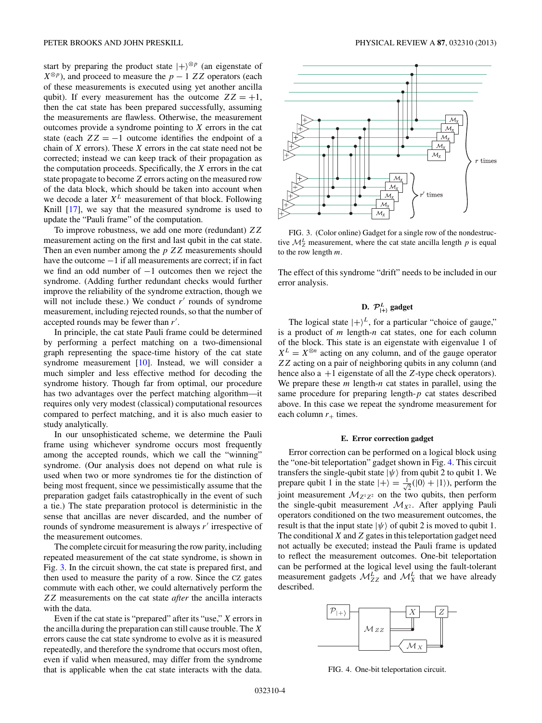<span id="page-3-0"></span>start by preparing the product state  $|+\rangle^{\otimes p}$  (an eigenstate of  $X^{\otimes p}$ ), and proceed to measure the *p* − 1 *ZZ* operators (each of these measurements is executed using yet another ancilla qubit). If every measurement has the outcome  $ZZ = +1$ , then the cat state has been prepared successfully, assuming the measurements are flawless. Otherwise, the measurement outcomes provide a syndrome pointing to *X* errors in the cat state (each  $ZZ = -1$  outcome identifies the endpoint of a chain of *X* errors). These *X* errors in the cat state need not be corrected; instead we can keep track of their propagation as the computation proceeds. Specifically, the *X* errors in the cat state propagate to become *Z* errors acting on the measured row of the data block, which should be taken into account when we decode a later  $X^L$  measurement of that block. Following Knill [\[17\]](#page-15-0), we say that the measured syndrome is used to update the "Pauli frame" of the computation.

To improve robustness, we add one more (redundant) *ZZ* measurement acting on the first and last qubit in the cat state. Then an even number among the *p ZZ* measurements should have the outcome −1 if all measurements are correct; if in fact we find an odd number of −1 outcomes then we reject the syndrome. (Adding further redundant checks would further improve the reliability of the syndrome extraction, though we will not include these.) We conduct  $r'$  rounds of syndrome measurement, including rejected rounds, so that the number of accepted rounds may be fewer than *r* .

In principle, the cat state Pauli frame could be determined by performing a perfect matching on a two-dimensional graph representing the space-time history of the cat state syndrome measurement [\[10\]](#page-15-0). Instead, we will consider a much simpler and less effective method for decoding the syndrome history. Though far from optimal, our procedure has two advantages over the perfect matching algorithm—it requires only very modest (classical) computational resources compared to perfect matching, and it is also much easier to study analytically.

In our unsophisticated scheme, we determine the Pauli frame using whichever syndrome occurs most frequently among the accepted rounds, which we call the "winning" syndrome. (Our analysis does not depend on what rule is used when two or more syndromes tie for the distinction of being most frequent, since we pessimistically assume that the preparation gadget fails catastrophically in the event of such a tie.) The state preparation protocol is deterministic in the sense that ancillas are never discarded, and the number of rounds of syndrome measurement is always r' irrespective of the measurement outcomes.

The complete circuit for measuring the row parity, including repeated measurement of the cat state syndrome, is shown in Fig. 3. In the circuit shown, the cat state is prepared first, and then used to measure the parity of a row. Since the CZ gates commute with each other, we could alternatively perform the *ZZ* measurements on the cat state *after* the ancilla interacts with the data.

Even if the cat state is "prepared" after its "use," *X* errors in the ancilla during the preparation can still cause trouble. The *X* errors cause the cat state syndrome to evolve as it is measured repeatedly, and therefore the syndrome that occurs most often, even if valid when measured, may differ from the syndrome that is applicable when the cat state interacts with the data.



FIG. 3. (Color online) Gadget for a single row of the nondestructive  $\mathcal{M}_Z^L$  measurement, where the cat state ancilla length  $p$  is equal to the row length *m*.

The effect of this syndrome "drift" needs to be included in our error analysis.

# **D.**  $\mathcal{P}_{\vert+\rangle}^{L}$  gadget

The logical state  $|+\rangle^L$ , for a particular "choice of gauge," is a product of *m* length-*n* cat states, one for each column of the block. This state is an eigenstate with eigenvalue 1 of  $X^L = X^{\otimes n}$  acting on any column, and of the gauge operator *ZZ* acting on a pair of neighboring qubits in any column (and hence also a +1 eigenstate of all the *Z*-type check operators). We prepare these *m* length-*n* cat states in parallel, using the same procedure for preparing length-*p* cat states described above. In this case we repeat the syndrome measurement for each column  $r_+$  times.

#### **E. Error correction gadget**

Error correction can be performed on a logical block using the "one-bit teleportation" gadget shown in Fig. 4. This circuit transfers the single-qubit state  $|\psi\rangle$  from qubit 2 to qubit 1. We prepare qubit 1 in the state  $|+\rangle = \frac{1}{4}$  $\frac{1}{2}(|0\rangle + |1\rangle)$ , perform the joint measurement  $\mathcal{M}_{Z^1Z^2}$  on the two qubits, then perform the single-qubit measurement  $\mathcal{M}_{X^2}$ . After applying Pauli operators conditioned on the two measurement outcomes, the result is that the input state  $|\psi\rangle$  of qubit 2 is moved to qubit 1. The conditional *X* and*Z* gates in this teleportation gadget need not actually be executed; instead the Pauli frame is updated to reflect the measurement outcomes. One-bit teleportation can be performed at the logical level using the fault-tolerant measurement gadgets  $\mathcal{M}_{ZZ}^L$  and  $\mathcal{M}_{X}^L$  that we have already described.



FIG. 4. One-bit teleportation circuit.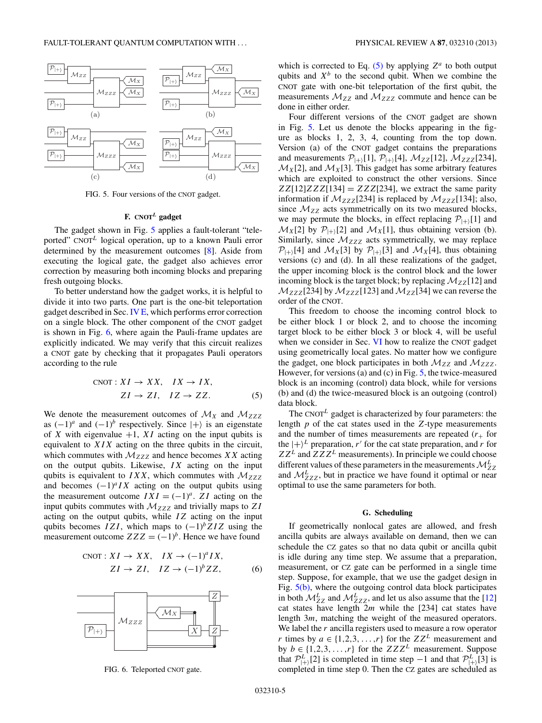<span id="page-4-0"></span>

FIG. 5. Four versions of the CNOT gadget.

# **F. CNOT***<sup>L</sup>* **gadget**

The gadget shown in Fig. 5 applies a fault-tolerant "teleported" CNOT*<sup>L</sup>* logical operation, up to a known Pauli error determined by the measurement outcomes [\[8\]](#page-15-0). Aside from executing the logical gate, the gadget also achieves error correction by measuring both incoming blocks and preparing fresh outgoing blocks.

To better understand how the gadget works, it is helpful to divide it into two parts. One part is the one-bit teleportation gadget described in Sec. [IV E,](#page-3-0) which performs error correction on a single block. The other component of the CNOT gadget is shown in Fig. 6, where again the Pauli-frame updates are explicitly indicated. We may verify that this circuit realizes a CNOT gate by checking that it propagates Pauli operators according to the rule

$$
CNOT: XI \to XX, \quad IX \to IX,
$$
  

$$
ZI \to ZI, \quad IZ \to ZZ.
$$
 (5)

We denote the measurement outcomes of  $\mathcal{M}_X$  and  $\mathcal{M}_{ZZZ}$ as  $(-1)^a$  and  $(-1)^b$  respectively. Since  $|+\rangle$  is an eigenstate of *X* with eigenvalue  $+1$ , *XI* acting on the input qubits is equivalent to *XIX* acting on the three qubits in the circuit, which commutes with  $M_{ZZZ}$  and hence becomes *XX* acting on the output qubits. Likewise, *IX* acting on the input qubits is equivalent to  $IXX$ , which commutes with  $M_{ZZZ}$ and becomes  $(-1)^{a} I X$  acting on the output qubits using the measurement outcome  $IXI = (-1)^a$ . *ZI* acting on the input qubits commutes with  $M_{ZZZ}$  and trivially maps to  $ZI$ acting on the output qubits, while *IZ* acting on the input qubits becomes *IZI*, which maps to  $(-1)^{b}ZIZ$  using the measurement outcome  $ZZZ = (-1)^b$ . Hence we have found

$$
CNOT: XI \to XX, \quad IX \to (-1)^{a} IX,
$$
  

$$
ZI \to ZI, \quad IZ \to (-1)^{b} ZZ,
$$
 (6)



FIG. 6. Teleported CNOT gate.

which is corrected to Eq.  $(5)$  by applying  $Z^a$  to both output qubits and  $X^b$  to the second qubit. When we combine the CNOT gate with one-bit teleportation of the first qubit, the measurements  $M_{ZZ}$  and  $M_{ZZZ}$  commute and hence can be done in either order.

Four different versions of the CNOT gadget are shown in Fig. 5. Let us denote the blocks appearing in the figure as blocks 1, 2, 3, 4, counting from the top down. Version (a) of the CNOT gadget contains the preparations and measurements  $P_{|+|}[1], P_{|+|}[4], M_{ZZ}[12], M_{ZZZ}[234],$  $\mathcal{M}_X[2]$ , and  $\mathcal{M}_X[3]$ . This gadget has some arbitrary features which are exploited to construct the other versions. Since  $ZZ[12]ZZZ[134] = ZZZ[234]$ , we extract the same parity information if  $M_{ZZZ}[234]$  is replaced by  $M_{ZZZ}[134]$ ; also, since  $M_{ZZ}$  acts symmetrically on its two measured blocks, we may permute the blocks, in effect replacing  $\mathcal{P}_{|+\rangle}[1]$  and  $\mathcal{M}_X[2]$  by  $\mathcal{P}_{|+\rangle}[2]$  and  $\mathcal{M}_X[1]$ , thus obtaining version (b). Similarly, since  $M_{ZZZ}$  acts symmetrically, we may replace  $\mathcal{P}_{\vert+\rangle}[\vert 4]$  and  $\mathcal{M}_X[\vert 3]$  by  $\mathcal{P}_{\vert+\rangle}[\vert 3]$  and  $\mathcal{M}_X[\vert 4]$ , thus obtaining versions (c) and (d). In all these realizations of the gadget, the upper incoming block is the control block and the lower incoming block is the target block; by replacing  $\mathcal{M}_{ZZ}[12]$  and  $\mathcal{M}_{ZZZ}[234]$  by  $\mathcal{M}_{ZZZ}[123]$  and  $\mathcal{M}_{ZZ}[34]$  we can reverse the order of the CNOT.

This freedom to choose the incoming control block to be either block 1 or block 2, and to choose the incoming target block to be either block 3 or block 4, will be useful when we consider in Sec. [VI](#page-8-0) how to realize the CNOT gadget using geometrically local gates. No matter how we configure the gadget, one block participates in both  $M_{ZZ}$  and  $M_{ZZZ}$ . However, for versions (a) and (c) in Fig. 5, the twice-measured block is an incoming (control) data block, while for versions (b) and (d) the twice-measured block is an outgoing (control) data block.

The CNOT*<sup>L</sup>* gadget is characterized by four parameters: the length *p* of the cat states used in the *Z*-type measurements and the number of times measurements are repeated  $(r_{+}$  for the  $|+\rangle^L$  preparation, *r'* for the cat state preparation, and *r* for  $ZZ^L$  and  $ZZZ^L$  measurements). In principle we could choose different values of these parameters in the measurements  $\mathcal{M}_{ZZ}^L$ and  $M^{L}_{ZZZ}$ , but in practice we have found it optimal or near optimal to use the same parameters for both.

#### **G. Scheduling**

If geometrically nonlocal gates are allowed, and fresh ancilla qubits are always available on demand, then we can schedule the CZ gates so that no data qubit or ancilla qubit is idle during any time step. We assume that a preparation, measurement, or CZ gate can be performed in a single time step. Suppose, for example, that we use the gadget design in Fig.  $5(b)$ , where the outgoing control data block participates in both  $\mathcal{M}_{ZZ}^L$  and  $\mathcal{M}_{ZZZ}^L$ , and let us also assume that the [\[12\]](#page-15-0) cat states have length 2*m* while the [234] cat states have length 3*m*, matching the weight of the measured operators. We label the *r* ancilla registers used to measure a row operator *r* times by  $a \in \{1, 2, 3, \ldots, r\}$  for the  $ZZ^L$  measurement and by  $b \in \{1, 2, 3, \ldots, r\}$  for the  $ZZZ^L$  measurement. Suppose that  $\mathcal{P}_{\vert+\rangle}^{L}[2]$  is completed in time step −1 and that  $\mathcal{P}_{\vert+\rangle}^{L}[3]$  is completed in time step 0. Then the CZ gates are scheduled as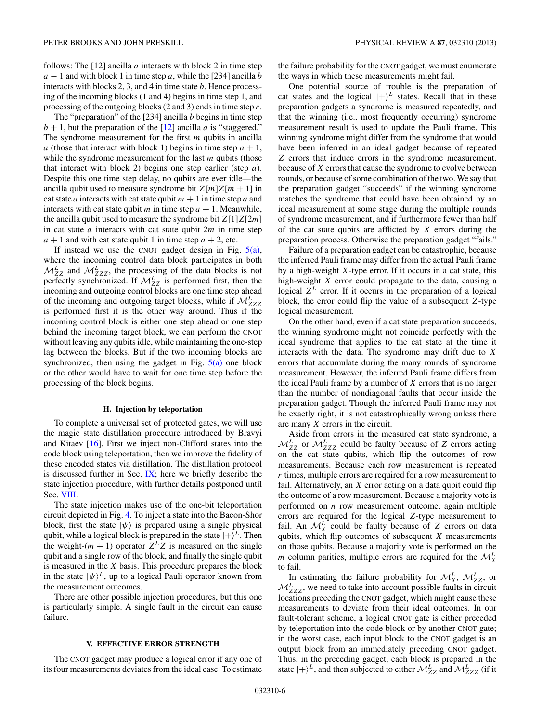<span id="page-5-0"></span>follows: The [12] ancilla *a* interacts with block 2 in time step  $a - 1$  and with block 1 in time step *a*, while the [234] ancilla *b* interacts with blocks 2, 3, and 4 in time state *b*. Hence processing of the incoming blocks (1 and 4) begins in time step 1, and processing of the outgoing blocks (2 and 3) ends in time step *r*.

The "preparation" of the [234] ancilla *b* begins in time step  $b + 1$ , but the preparation of the [\[12\]](#page-15-0) ancilla *a* is "staggered." The syndrome measurement for the first *m* qubits in ancilla *a* (those that interact with block 1) begins in time step  $a + 1$ , while the syndrome measurement for the last *m* qubits (those that interact with block 2) begins one step earlier (step *a*). Despite this one time step delay, no qubits are ever idle—the ancilla qubit used to measure syndrome bit  $Z[m]Z[m+1]$  in cat state *a* interacts with cat state qubit  $m + 1$  in time step *a* and interacts with cat state qubit *m* in time step  $a + 1$ . Meanwhile, the ancilla qubit used to measure the syndrome bit *Z*[1]*Z*[2*m*] in cat state *a* interacts with cat state qubit 2*m* in time step  $a + 1$  and with cat state qubit 1 in time step  $a + 2$ , etc.

If instead we use the CNOT gadget design in Fig.  $5(a)$ , where the incoming control data block participates in both  $M_{ZZ}^L$  and  $M_{ZZZ}^L$ , the processing of the data blocks is not perfectly synchronized. If  $\mathcal{M}_{ZZ}^L$  is performed first, then the incoming and outgoing control blocks are one time step ahead of the incoming and outgoing target blocks, while if  $M_{ZZZ}^L$ is performed first it is the other way around. Thus if the incoming control block is either one step ahead or one step behind the incoming target block, we can perform the CNOT without leaving any qubits idle, while maintaining the one-step lag between the blocks. But if the two incoming blocks are synchronized, then using the gadget in Fig.  $5(a)$  one block or the other would have to wait for one time step before the processing of the block begins.

#### **H. Injection by teleportation**

To complete a universal set of protected gates, we will use the magic state distillation procedure introduced by Bravyi and Kitaev  $[16]$ . First we inject non-Clifford states into the code block using teleportation, then we improve the fidelity of these encoded states via distillation. The distillation protocol is discussed further in Sec. [IX;](#page-13-0) here we briefly describe the state injection procedure, with further details postponed until Sec. [VIII.](#page-12-0)

The state injection makes use of the one-bit teleportation circuit depicted in Fig. [4.](#page-3-0) To inject a state into the Bacon-Shor block, first the state  $|\psi\rangle$  is prepared using a single physical qubit, while a logical block is prepared in the state  $|+\rangle^L$ . Then the weight- $(m + 1)$  operator  $Z^L Z$  is measured on the single qubit and a single row of the block, and finally the single qubit is measured in the *X* basis. This procedure prepares the block in the state  $|\psi\rangle^L$ , up to a logical Pauli operator known from the measurement outcomes.

There are other possible injection procedures, but this one is particularly simple. A single fault in the circuit can cause failure.

#### **V. EFFECTIVE ERROR STRENGTH**

The CNOT gadget may produce a logical error if any one of its four measurements deviates from the ideal case. To estimate

the failure probability for the CNOT gadget, we must enumerate the ways in which these measurements might fail.

One potential source of trouble is the preparation of cat states and the logical  $|+\rangle^L$  states. Recall that in these preparation gadgets a syndrome is measured repeatedly, and that the winning (i.e., most frequently occurring) syndrome measurement result is used to update the Pauli frame. This winning syndrome might differ from the syndrome that would have been inferred in an ideal gadget because of repeated *Z* errors that induce errors in the syndrome measurement, because of *X* errors that cause the syndrome to evolve between rounds, or because of some combination of the two. We say that the preparation gadget "succeeds" if the winning syndrome matches the syndrome that could have been obtained by an ideal measurement at some stage during the multiple rounds of syndrome measurement, and if furthermore fewer than half of the cat state qubits are afflicted by *X* errors during the preparation process. Otherwise the preparation gadget "fails."

Failure of a preparation gadget can be catastrophic, because the inferred Pauli frame may differ from the actual Pauli frame by a high-weight *X*-type error. If it occurs in a cat state, this high-weight *X* error could propagate to the data, causing a logical  $Z^L$  error. If it occurs in the preparation of a logical block, the error could flip the value of a subsequent *Z*-type logical measurement.

On the other hand, even if a cat state preparation succeeds, the winning syndrome might not coincide perfectly with the ideal syndrome that applies to the cat state at the time it interacts with the data. The syndrome may drift due to *X* errors that accumulate during the many rounds of syndrome measurement. However, the inferred Pauli frame differs from the ideal Pauli frame by a number of *X* errors that is no larger than the number of nondiagonal faults that occur inside the preparation gadget. Though the inferred Pauli frame may not be exactly right, it is not catastrophically wrong unless there are many *X* errors in the circuit.

Aside from errors in the measured cat state syndrome, a  $M_{ZZ}^L$  or  $M_{ZZZ}^L$  could be faulty because of *Z* errors acting on the cat state qubits, which flip the outcomes of row measurements. Because each row measurement is repeated *r* times, multiple errors are required for a row measurement to fail. Alternatively, an *X* error acting on a data qubit could flip the outcome of a row measurement. Because a majority vote is performed on *n* row measurement outcome, again multiple errors are required for the logical *Z*-type measurement to fail. An  $\mathcal{M}_{X}^{L}$  could be faulty because of *Z* errors on data qubits, which flip outcomes of subsequent *X* measurements on those qubits. Because a majority vote is performed on the *m* column parities, multiple errors are required for the  $\mathcal{M}_{X}^{L}$ to fail.

In estimating the failure probability for  $\mathcal{M}_{X}^{L}$ ,  $\mathcal{M}_{ZZ}^{L}$ , or  $M<sup>L</sup><sub>ZZZ</sub>$ , we need to take into account possible faults in circuit locations preceding the CNOT gadget, which might cause these measurements to deviate from their ideal outcomes. In our fault-tolerant scheme, a logical CNOT gate is either preceded by teleportation into the code block or by another CNOT gate; in the worst case, each input block to the CNOT gadget is an output block from an immediately preceding CNOT gadget. Thus, in the preceding gadget, each block is prepared in the state  $|+\rangle^L$ , and then subjected to either  $\mathcal{M}_{ZZ}^L$  and  $\mathcal{M}_{ZZZ}^L$  (if it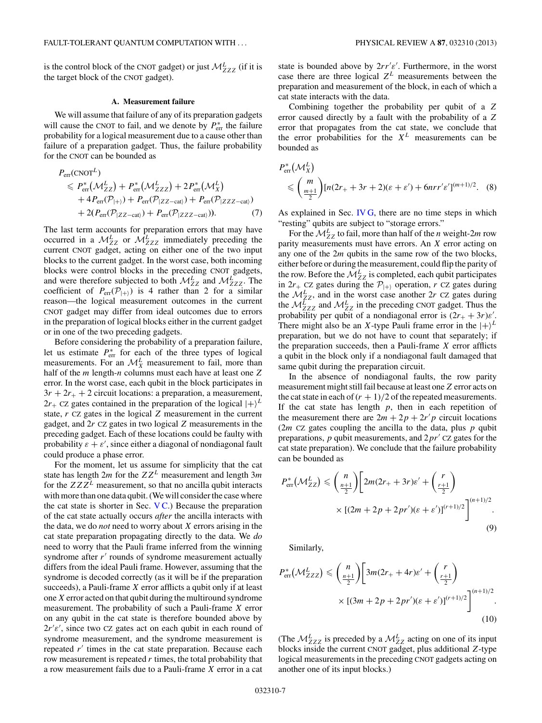<span id="page-6-0"></span>is the control block of the CNOT gadget) or just  $M^{L}_{ZZZ}$  (if it is the target block of the CNOT gadget).

## **A. Measurement failure**

We will assume that failure of any of its preparation gadgets will cause the CNOT to fail, and we denote by  $P_{\text{err}}^*$  the failure probability for a logical measurement due to a cause other than failure of a preparation gadget. Thus, the failure probability for the CNOT can be bounded as

$$
P_{\text{err}}(\text{CNOT}^{L})
$$
  
\n
$$
\leq P_{\text{err}}^{*}(\mathcal{M}_{ZZ}^{L}) + P_{\text{err}}^{*}(\mathcal{M}_{ZZZ}^{L}) + 2P_{\text{err}}^{*}(\mathcal{M}_{X}^{L})
$$
  
\n
$$
+ 4P_{\text{err}}(\mathcal{P}_{|+)}) + P_{\text{err}}(\mathcal{P}_{|ZZ-\text{cat}\rangle}) + P_{\text{err}}(\mathcal{P}_{|ZZ-\text{cat}\rangle})
$$
  
\n
$$
+ 2(P_{\text{err}}(\mathcal{P}_{|ZZ-\text{cat}\rangle}) + P_{\text{err}}(\mathcal{P}_{|ZZ-\text{cat}\rangle})). \tag{7}
$$

The last term accounts for preparation errors that may have occurred in a  $M_{ZZZ}^L$  or  $M_{ZZZ}^L$  immediately preceding the current CNOT gadget, acting on either one of the two input blocks to the current gadget. In the worst case, both incoming blocks were control blocks in the preceding CNOT gadgets, and were therefore subjected to both  $\mathcal{M}_{ZZ}^L$  and  $\mathcal{M}_{ZZZ}^L$ . The coefficient of  $P_{\text{err}}(\mathcal{P}_{|+})$  is 4 rather than 2 for a similar reason—the logical measurement outcomes in the current CNOT gadget may differ from ideal outcomes due to errors in the preparation of logical blocks either in the current gadget or in one of the two preceding gadgets.

Before considering the probability of a preparation failure, let us estimate  $P_{\text{err}}^*$  for each of the three types of logical measurements. For an  $\mathcal{M}_{X}^{L}$  measurement to fail, more than half of the *m* length-*n* columns must each have at least one *Z* error. In the worst case, each qubit in the block participates in  $3r + 2r_{+} + 2$  circuit locations: a preparation, a measurement,  $2r_{+}$  CZ gates contained in the preparation of the logical  $|+\rangle^{L}$ state, *r* CZ gates in the logical *Z* measurement in the current gadget, and 2*r* CZ gates in two logical *Z* measurements in the preceding gadget. Each of these locations could be faulty with probability  $\varepsilon + \varepsilon'$ , since either a diagonal of nondiagonal fault could produce a phase error.

For the moment, let us assume for simplicity that the cat state has length 2*m* for the *ZZ<sup>L</sup>* measurement and length 3*m* for the  $ZZZ^L$  measurement, so that no ancilla qubit interacts with more than one data qubit. (We will consider the case where the cat state is shorter in Sec.  $VC$ .) Because the preparation of the cat state actually occurs *after* the ancilla interacts with the data, we do *not* need to worry about *X* errors arising in the cat state preparation propagating directly to the data. We *do* need to worry that the Pauli frame inferred from the winning syndrome after r' rounds of syndrome measurement actually differs from the ideal Pauli frame. However, assuming that the syndrome is decoded correctly (as it will be if the preparation succeeds), a Pauli-frame *X* error afflicts a qubit only if at least one *X* error acted on that qubit during the multiround syndrome measurement. The probability of such a Pauli-frame *X* error on any qubit in the cat state is therefore bounded above by 2*r ε* , since two CZ gates act on each qubit in each round of syndrome measurement, and the syndrome measurement is repeated *r'* times in the cat state preparation. Because each row measurement is repeated *r* times, the total probability that a row measurement fails due to a Pauli-frame *X* error in a cat

state is bounded above by 2*rr ε* . Furthermore, in the worst case there are three logical *Z<sup>L</sup>* measurements between the preparation and measurement of the block, in each of which a cat state interacts with the data.

Combining together the probability per qubit of a *Z* error caused directly by a fault with the probability of a *Z* error that propagates from the cat state, we conclude that the error probabilities for the  $X<sup>L</sup>$  measurements can be bounded as

$$
P_{\text{err}}^*(\mathcal{M}_X^L)
$$
  
\$\leqslant \left(\frac{m}{\frac{m+1}{2}}\right)[n(2r\_+ + 3r + 2)(\varepsilon + \varepsilon') + 6nrr'\varepsilon']^{(m+1)/2}\$. (8)

As explained in Sec. [IV G,](#page-4-0) there are no time steps in which "resting" qubits are subject to "storage errors."

For the  $\mathcal{M}_{ZZ}^L$  to fail, more than half of the *n* weight-2*m* row parity measurements must have errors. An *X* error acting on any one of the 2*m* qubits in the same row of the two blocks, either before or during the measurement, could flip the parity of the row. Before the  $\mathcal{M}_{ZZ}^L$  is completed, each qubit participates in  $2r_{+}$  CZ gates during the  $\mathcal{P}_{|+\rangle}$  operation, *r* CZ gates during the  $\mathcal{M}_{ZZ}^L$ , and in the worst case another 2*r* CZ gates during the  $M^{L}_{ZZZ}$  and  $M^{L}_{ZZ}$  in the preceding CNOT gadget. Thus the probability per qubit of a nondiagonal error is  $(2r_+ + 3r)\varepsilon'$ . There might also be an *X*-type Pauli frame error in the  $|+\rangle^L$ preparation, but we do not have to count that separately; if the preparation succeeds, then a Pauli-frame *X* error afflicts a qubit in the block only if a nondiagonal fault damaged that same qubit during the preparation circuit.

In the absence of nondiagonal faults, the row parity measurement might still fail because at least one*Z* error acts on the cat state in each of  $(r + 1)/2$  of the repeated measurements. If the cat state has length *p*, then in each repetition of the measurement there are  $2m + 2p + 2r'p$  circuit locations (2 *CZ gates coupling the ancilla to the data, plus*  $*p*$  *qubit* preparations,  $p$  qubit measurements, and  $2pr'$  CZ gates for the cat state preparation). We conclude that the failure probability can be bounded as

$$
P_{\text{err}}^*(\mathcal{M}_{ZZ}^L) \leq \binom{n}{\frac{n+1}{2}} \left[ 2m(2r_+ + 3r)\varepsilon' + \binom{r}{\frac{r+1}{2}} \times \left[ (2m + 2p + 2pr')(\varepsilon + \varepsilon') \right]^{(r+1)/2} \right]^{(n+1)/2}.
$$
\n(9)

Similarly,

$$
P_{\text{err}}^*(\mathcal{M}_{ZZZ}^L) \leqslant {n \choose \frac{n+1}{2}} \left[ 3m(2r_+ + 4r)\varepsilon' + {r \choose \frac{r+1}{2}} \times \left[ (3m + 2p + 2pr')(\varepsilon + \varepsilon') \right]^{(r+1)/2} \right]^{(n+1)/2}.
$$
\n
$$
(10)
$$

(The  $M^{L}_{ZZZ}$  is preceded by a  $M^{L}_{ZZ}$  acting on one of its input blocks inside the current CNOT gadget, plus additional *Z*-type logical measurements in the preceding CNOT gadgets acting on another one of its input blocks.)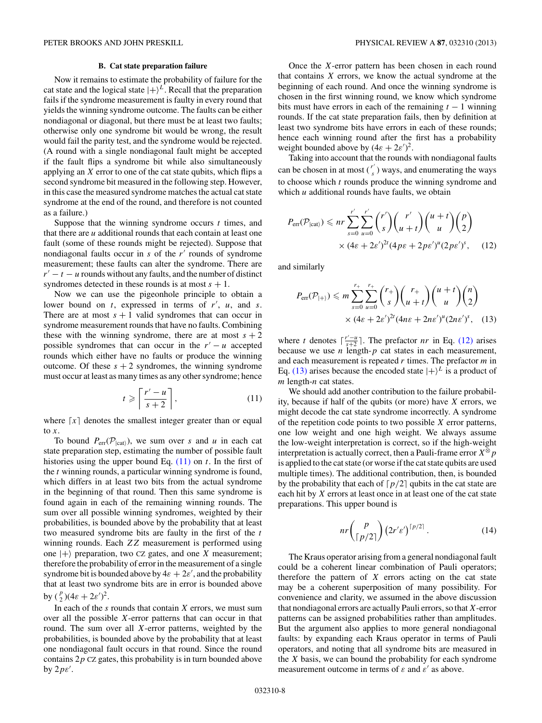#### **B. Cat state preparation failure**

<span id="page-7-0"></span>Now it remains to estimate the probability of failure for the cat state and the logical state  $|+\rangle^L$ . Recall that the preparation fails if the syndrome measurement is faulty in every round that yields the winning syndrome outcome. The faults can be either nondiagonal or diagonal, but there must be at least two faults; otherwise only one syndrome bit would be wrong, the result would fail the parity test, and the syndrome would be rejected. (A round with a single nondiagonal fault might be accepted if the fault flips a syndrome bit while also simultaneously applying an *X* error to one of the cat state qubits, which flips a second syndrome bit measured in the following step. However, in this case the measured syndrome matches the actual cat state syndrome at the end of the round, and therefore is not counted as a failure.)

Suppose that the winning syndrome occurs *t* times, and that there are *u* additional rounds that each contain at least one fault (some of these rounds might be rejected). Suppose that nondiagonal faults occur in *s* of the *r'* rounds of syndrome measurement; these faults can alter the syndrome. There are  $r' - t - u$  rounds without any faults, and the number of distinct syndromes detected in these rounds is at most  $s + 1$ .

Now we can use the pigeonhole principle to obtain a lower bound on *t*, expressed in terms of *r* , *u*, and *s*. There are at most  $s + 1$  valid syndromes that can occur in syndrome measurement rounds that have no faults. Combining these with the winning syndrome, there are at most  $s + 2$ possible syndromes that can occur in the  $r' - u$  accepted rounds which either have no faults or produce the winning outcome. Of these  $s + 2$  syndromes, the winning syndrome must occur at least as many times as any other syndrome; hence

$$
t \geqslant \left\lceil \frac{r'-u}{s+2} \right\rceil,\tag{11}
$$

where  $\lceil x \rceil$  denotes the smallest integer greater than or equal to *x*.

To bound  $P_{\text{err}}(\mathcal{P}_{\text{leat}})$ , we sum over *s* and *u* in each cat state preparation step, estimating the number of possible fault histories using the upper bound Eq. (11) on *t*. In the first of the *t* winning rounds, a particular winning syndrome is found, which differs in at least two bits from the actual syndrome in the beginning of that round. Then this same syndrome is found again in each of the remaining winning rounds. The sum over all possible winning syndromes, weighted by their probabilities, is bounded above by the probability that at least two measured syndrome bits are faulty in the first of the *t* winning rounds. Each *ZZ* measurement is performed using one  $|+\rangle$  preparation, two CZ gates, and one *X* measurement; therefore the probability of error in the measurement of a single syndrome bit is bounded above by  $4\varepsilon + 2\varepsilon'$ , and the probability that at least two syndrome bits are in error is bounded above by  $(\frac{p}{2})(4\varepsilon + 2\varepsilon')^2$ .

In each of the *s* rounds that contain *X* errors, we must sum over all the possible *X*-error patterns that can occur in that round. The sum over all *X*-error patterns, weighted by the probabilities, is bounded above by the probability that at least one nondiagonal fault occurs in that round. Since the round contains 2*p* CZ gates, this probability is in turn bounded above by 2*pε* .

Once the *X*-error pattern has been chosen in each round that contains *X* errors, we know the actual syndrome at the beginning of each round. And once the winning syndrome is chosen in the first winning round, we know which syndrome bits must have errors in each of the remaining  $t - 1$  winning rounds. If the cat state preparation fails, then by definition at least two syndrome bits have errors in each of these rounds; hence each winning round after the first has a probability weight bounded above by  $(4\varepsilon + 2\varepsilon')^2$ .

Taking into account that the rounds with nondiagonal faults can be chosen in at most  $\binom{r'}{s}$  ways, and enumerating the ways to choose which *t* rounds produce the winning syndrome and which *u* additional rounds have faults, we obtain

$$
P_{\text{err}}(\mathcal{P}_{|\text{cat}\rangle}) \le n r \sum_{s=0}^{r'} \sum_{u=0}^{r'} {r' \choose s} {r' \choose u+t} {u+t \choose u} {p \choose 2}
$$

$$
\times (4\varepsilon + 2\varepsilon')^{2t} (4p\varepsilon + 2p\varepsilon')^{u} (2p\varepsilon')^{s}, \qquad (12)
$$

and similarly

$$
P_{\text{err}}(\mathcal{P}_{|+\rangle}) \le m \sum_{s=0}^{r_{+}} \sum_{u=0}^{r_{+}} {r_{+} \choose s} {r_{+} \choose u+t} {u+t \choose u} {n \choose 2} \\ \times (4\varepsilon + 2\varepsilon')^{2t} (4n\varepsilon + 2n\varepsilon')^{u} (2n\varepsilon')^{s}, \quad (13)
$$

where *t* denotes  $\lceil \frac{r'-u}{s+2} \rceil$ . The prefactor *nr* in Eq. (12) arises because we use *n* length-*p* cat states in each measurement, and each measurement is repeated *r* times. The prefactor *m* in Eq. (13) arises because the encoded state  $|+\rangle^L$  is a product of *m* length-*n* cat states.

We should add another contribution to the failure probability, because if half of the qubits (or more) have *X* errors, we might decode the cat state syndrome incorrectly. A syndrome of the repetition code points to two possible *X* error patterns, one low weight and one high weight. We always assume the low-weight interpretation is correct, so if the high-weight interpretation is actually correct, then a Pauli-frame error  $X^{\otimes} p$ is applied to the cat state (or worse if the cat state qubits are used multiple times). The additional contribution, then, is bounded by the probability that each of  $\lceil p/2 \rceil$  qubits in the cat state are each hit by *X* errors at least once in at least one of the cat state preparations. This upper bound is

$$
nr\binom{p}{\lceil p/2\rceil}(2r'\varepsilon')^{\lceil p/2\rceil}.
$$
 (14)

The Kraus operator arising from a general nondiagonal fault could be a coherent linear combination of Pauli operators; therefore the pattern of *X* errors acting on the cat state may be a coherent superposition of many possibility. For convenience and clarity, we assumed in the above discussion that nondiagonal errors are actually Pauli errors, so that*X*-error patterns can be assigned probabilities rather than amplitudes. But the argument also applies to more general nondiagonal faults: by expanding each Kraus operator in terms of Pauli operators, and noting that all syndrome bits are measured in the *X* basis, we can bound the probability for each syndrome measurement outcome in terms of  $\varepsilon$  and  $\varepsilon'$  as above.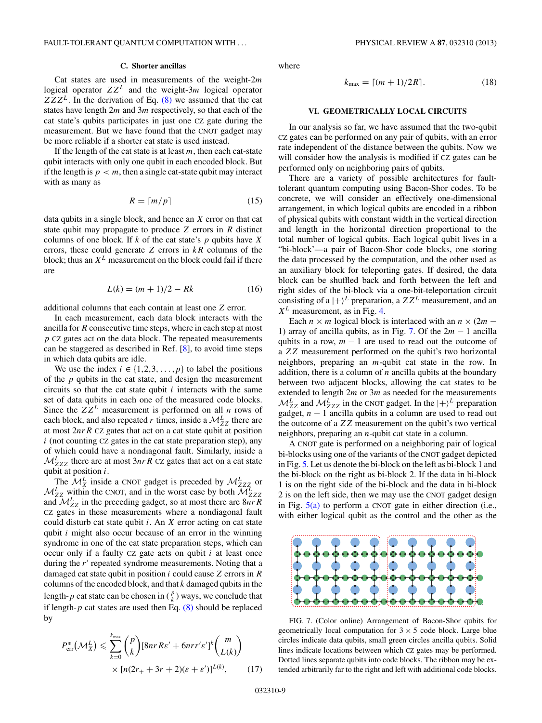#### **C. Shorter ancillas**

<span id="page-8-0"></span>Cat states are used in measurements of the weight-2*m* logical operator *ZZ<sup>L</sup>* and the weight-3*m* logical operator  $ZZZ<sup>L</sup>$ . In the derivation of Eq. [\(8\)](#page-6-0) we assumed that the cat states have length 2*m* and 3*m* respectively, so that each of the cat state's qubits participates in just one CZ gate during the measurement. But we have found that the CNOT gadget may be more reliable if a shorter cat state is used instead.

If the length of the cat state is at least *m*, then each cat-state qubit interacts with only one qubit in each encoded block. But if the length is  $p < m$ , then a single cat-state qubit may interact with as many as

$$
R = \lceil m/p \rceil \tag{15}
$$

data qubits in a single block, and hence an *X* error on that cat state qubit may propagate to produce *Z* errors in *R* distinct columns of one block. If *k* of the cat state's *p* qubits have *X* errors, these could generate *Z* errors in *kR* columns of the block; thus an *X<sup>L</sup>* measurement on the block could fail if there are

$$
L(k) = (m+1)/2 - Rk
$$
 (16)

additional columns that each contain at least one *Z* error.

In each measurement, each data block interacts with the ancilla for *R* consecutive time steps, where in each step at most *p* CZ gates act on the data block. The repeated measurements can be staggered as described in Ref. [\[8\]](#page-15-0), to avoid time steps in which data qubits are idle.

We use the index  $i \in \{1,2,3,\ldots,p\}$  to label the positions of the *p* qubits in the cat state, and design the measurement circuits so that the cat state qubit *i* interacts with the same set of data qubits in each one of the measured code blocks. Since the  $ZZ^L$  measurement is performed on all *n* rows of each block, and also repeated *r* times, inside a  $\mathcal{M}_{ZZ}^L$  there are at most 2*nrR* CZ gates that act on a cat state qubit at position  $i$  (not counting CZ gates in the cat state preparation step), any of which could have a nondiagonal fault. Similarly, inside a  $M_{ZZZ}^L$  there are at most  $3nrR$  CZ gates that act on a cat state qubit at position *i*.

The  $\mathcal{M}_{X}^{L}$  inside a CNOT gadget is preceded by  $\mathcal{M}_{ZZZ}^{L}$  or  $M^{L}_{ZZ}$  within the CNOT, and in the worst case by both  $M^{L}_{ZZZ}$ and  $M^L_{ZZ}$  in the preceding gadget, so at most there are  $8nR^R$ CZ gates in these measurements where a nondiagonal fault could disturb cat state qubit *i*. An *X* error acting on cat state qubit *i* might also occur because of an error in the winning syndrome in one of the cat state preparation steps, which can occur only if a faulty CZ gate acts on qubit *i* at least once during the r' repeated syndrome measurements. Noting that a damaged cat state qubit in position *i* could cause *Z* errors in *R* columns of the encoded block, and that *k* damaged qubits in the length- $p$  cat state can be chosen in  $\binom{p}{k}$  ways, we conclude that if length- $p$  cat states are used then Eq.  $(8)$  should be replaced by

$$
P_{\text{err}}^*(\mathcal{M}_X^L) \leqslant \sum_{k=0}^{k_{\text{max}}} \binom{p}{k} [8nrR\varepsilon' + 6nrr'\varepsilon']^k \binom{m}{L(k)} \\ \times [n(2r_+ + 3r + 2)(\varepsilon + \varepsilon')]^{L(k)}, \tag{17}
$$

where

$$
k_{\text{max}} = \lceil (m+1)/2R \rceil. \tag{18}
$$

## **VI. GEOMETRICALLY LOCAL CIRCUITS**

In our analysis so far, we have assumed that the two-qubit CZ gates can be performed on any pair of qubits, with an error rate independent of the distance between the qubits. Now we will consider how the analysis is modified if CZ gates can be performed only on neighboring pairs of qubits.

There are a variety of possible architectures for faulttolerant quantum computing using Bacon-Shor codes. To be concrete, we will consider an effectively one-dimensional arrangement, in which logical qubits are encoded in a ribbon of physical qubits with constant width in the vertical direction and length in the horizontal direction proportional to the total number of logical qubits. Each logical qubit lives in a "bi-block'—a pair of Bacon-Shor code blocks, one storing the data processed by the computation, and the other used as an auxiliary block for teleporting gates. If desired, the data block can be shuffled back and forth between the left and right sides of the bi-block via a one-bit-teleportation circuit consisting of a  $|+\rangle^L$  preparation, a  $ZZ^L$  measurement, and an  $X<sup>L</sup>$  measurement, as in Fig. [4.](#page-3-0)

Each  $n \times m$  logical block is interlaced with an  $n \times (2m -$ 1) array of ancilla qubits, as in Fig. 7. Of the 2*m* − 1 ancilla qubits in a row,  $m - 1$  are used to read out the outcome of a *ZZ* measurement performed on the qubit's two horizontal neighbors, preparing an *m*-qubit cat state in the row. In addition, there is a column of *n* ancilla qubits at the boundary between two adjacent blocks, allowing the cat states to be extended to length 2*m* or 3*m* as needed for the measurements  $\mathcal{M}_{ZZ}^L$  and  $\mathcal{M}_{ZZZ}^L$  in the CNOT gadget. In the  $|+\rangle^L$  preparation gadget, *n* − 1 ancilla qubits in a column are used to read out the outcome of a *ZZ* measurement on the qubit's two vertical neighbors, preparing an *n*-qubit cat state in a column.

A CNOT gate is performed on a neighboring pair of logical bi-blocks using one of the variants of the CNOT gadget depicted in Fig. [5.](#page-4-0) Let us denote the bi-block on the left as bi-block 1 and the bi-block on the right as bi-block 2. If the data in bi-block 1 is on the right side of the bi-block and the data in bi-block 2 is on the left side, then we may use the CNOT gadget design in Fig.  $5(a)$  to perform a CNOT gate in either direction (i.e., with either logical qubit as the control and the other as the



FIG. 7. (Color online) Arrangement of Bacon-Shor qubits for geometrically local computation for  $3 \times 5$  code block. Large blue circles indicate data qubits, small green circles ancilla qubits. Solid lines indicate locations between which CZ gates may be performed. Dotted lines separate qubits into code blocks. The ribbon may be extended arbitrarily far to the right and left with additional code blocks.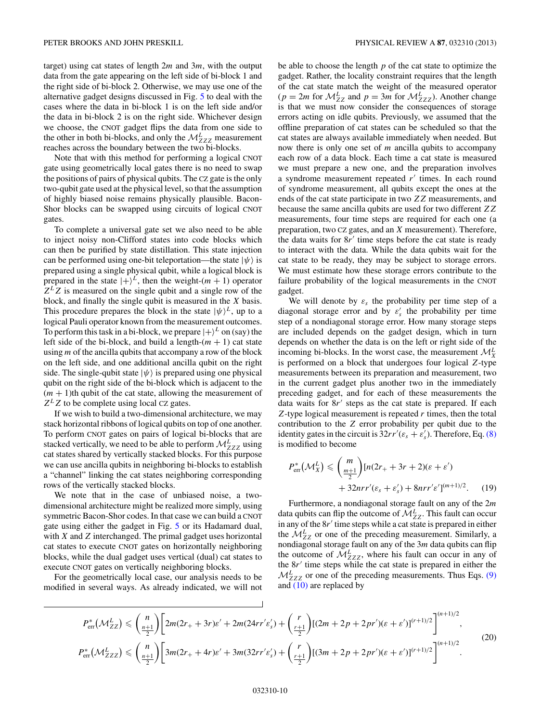target) using cat states of length 2*m* and 3*m*, with the output data from the gate appearing on the left side of bi-block 1 and the right side of bi-block 2. Otherwise, we may use one of the alternative gadget designs discussed in Fig. [5](#page-4-0) to deal with the cases where the data in bi-block 1 is on the left side and/or the data in bi-block 2 is on the right side. Whichever design we choose, the CNOT gadget flips the data from one side to the other in both bi-blocks, and only the  $\mathcal{M}^L_{ZZZ}$  measurement reaches across the boundary between the two bi-blocks.

Note that with this method for performing a logical CNOT gate using geometrically local gates there is no need to swap the positions of pairs of physical qubits. The CZ gate is the only two-qubit gate used at the physical level, so that the assumption of highly biased noise remains physically plausible. Bacon-Shor blocks can be swapped using circuits of logical CNOT gates.

To complete a universal gate set we also need to be able to inject noisy non-Clifford states into code blocks which can then be purified by state distillation. This state injection can be performed using one-bit teleportation—the state  $|\psi\rangle$  is prepared using a single physical qubit, while a logical block is prepared in the state  $|+\rangle^L$ , then the weight-(*m* + 1) operator  $Z^LZ$  is measured on the single qubit and a single row of the block, and finally the single qubit is measured in the *X* basis. This procedure prepares the block in the state  $|\psi\rangle^L$ , up to a logical Pauli operator known from the measurement outcomes. To perform this task in a bi-block, we prepare  $|+\rangle^L$  on (say) the left side of the bi-block, and build a length- $(m + 1)$  cat state using *m* of the ancilla qubits that accompany a row of the block on the left side, and one additional ancilla qubit on the right side. The single-qubit state  $|\psi\rangle$  is prepared using one physical qubit on the right side of the bi-block which is adjacent to the  $(m + 1)$ th qubit of the cat state, allowing the measurement of  $Z^LZ$  to be complete using local CZ gates.

If we wish to build a two-dimensional architecture, we may stack horizontal ribbons of logical qubits on top of one another. To perform CNOT gates on pairs of logical bi-blocks that are stacked vertically, we need to be able to perform  $\mathcal{M}_{ZZZ}^L$  using cat states shared by vertically stacked blocks. For this purpose we can use ancilla qubits in neighboring bi-blocks to establish a "channel" linking the cat states neighboring corresponding rows of the vertically stacked blocks.

We note that in the case of unbiased noise, a twodimensional architecture might be realized more simply, using symmetric Bacon-Shor codes. In that case we can build a CNOT gate using either the gadget in Fig. [5](#page-4-0) or its Hadamard dual, with *X* and *Z* interchanged. The primal gadget uses horizontal cat states to execute CNOT gates on horizontally neighboring blocks, while the dual gadget uses vertical (dual) cat states to execute CNOT gates on vertically neighboring blocks.

For the geometrically local case, our analysis needs to be modified in several ways. As already indicated, we will not be able to choose the length *p* of the cat state to optimize the gadget. Rather, the locality constraint requires that the length of the cat state match the weight of the measured operator  $(p = 2m$  for  $\mathcal{M}_{ZZ}^L$  and  $p = 3m$  for  $\mathcal{M}_{ZZZ}^L$ ). Another change is that we must now consider the consequences of storage errors acting on idle qubits. Previously, we assumed that the offline preparation of cat states can be scheduled so that the cat states are always available immediately when needed. But now there is only one set of *m* ancilla qubits to accompany each row of a data block. Each time a cat state is measured we must prepare a new one, and the preparation involves a syndrome measurement repeated r' times. In each round of syndrome measurement, all qubits except the ones at the ends of the cat state participate in two *ZZ* measurements, and because the same ancilla qubits are used for two different *ZZ* measurements, four time steps are required for each one (a preparation, two CZ gates, and an *X* measurement). Therefore, the data waits for  $8r'$  time steps before the cat state is ready to interact with the data. While the data qubits wait for the cat state to be ready, they may be subject to storage errors. We must estimate how these storage errors contribute to the failure probability of the logical measurements in the CNOT gadget.

We will denote by  $\varepsilon$ <sub>s</sub> the probability per time step of a diagonal storage error and by  $\varepsilon'_{s}$  the probability per time step of a nondiagonal storage error. How many storage steps are included depends on the gadget design, which in turn depends on whether the data is on the left or right side of the incoming bi-blocks. In the worst case, the measurement  $\mathcal{M}_{X}^{L}$ is performed on a block that undergoes four logical *Z*-type measurements between its preparation and measurement, two in the current gadget plus another two in the immediately preceding gadget, and for each of these measurements the data waits for 8r' steps as the cat state is prepared. If each *Z*-type logical measurement is repeated *r* times, then the total contribution to the *Z* error probability per qubit due to the identity gates in the circuit is  $32rr'(\varepsilon_s + \varepsilon'_s)$ . Therefore, Eq. [\(8\)](#page-6-0) is modified to become

$$
P_{\text{err}}^*(\mathcal{M}_X^L) \leq \binom{m}{\frac{m+1}{2}} [n(2r_+ + 3r + 2)(\varepsilon + \varepsilon')
$$
  
+ 32nrr'(\varepsilon\_s + \varepsilon'\_s) + 8nrr' \varepsilon']^{(m+1)/2}. (19)

Furthermore, a nondiagonal storage fault on any of the 2*m* data qubits can flip the outcome of  $\mathcal{M}_{ZZ}^L$ . This fault can occur in any of the 8r' time steps while a cat state is prepared in either the  $M^{L}_{ZZ}$  or one of the preceding measurement. Similarly, a nondiagonal storage fault on any of the 3*m* data qubits can flip the outcome of  $\mathcal{M}_{ZZZ}^L$ , where his fault can occur in any of the 8*r'* time steps while the cat state is prepared in either the  $M<sup>L</sup><sub>ZZZ</sub>$  or one of the preceding measurements. Thus Eqs. [\(9\)](#page-6-0) and [\(10\)](#page-6-0) are replaced by

$$
P_{\text{err}}^*(\mathcal{M}_{ZZ}^L) \leq \binom{n}{\frac{n+1}{2}} \Big[ 2m(2r_+ + 3r)\varepsilon' + 2m(24rr'\varepsilon'_s) + \binom{r}{\frac{r+1}{2}} [(2m + 2p + 2pr')(\varepsilon + \varepsilon')]^{(r+1)/2} \Big]^{(n+1)/2},
$$
\n
$$
P_{\text{err}}^*(\mathcal{M}_{ZZZ}^L) \leq \binom{n}{\frac{n+1}{2}} \Big[ 3m(2r_+ + 4r)\varepsilon' + 3m(32rr'\varepsilon'_s) + \binom{r}{\frac{r+1}{2}} [(3m + 2p + 2pr')(\varepsilon + \varepsilon')]^{(r+1)/2} \Big]^{(n+1)/2}.
$$
\n(20)

 $\overline{1}$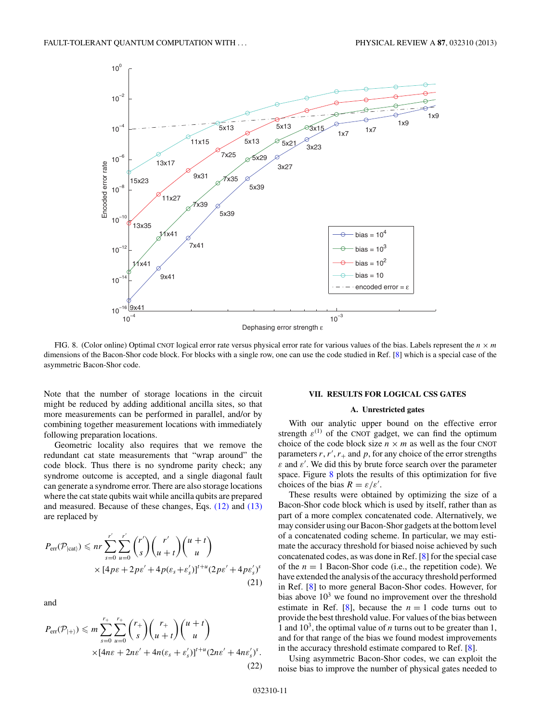<span id="page-10-0"></span>

FIG. 8. (Color online) Optimal CNOT logical error rate versus physical error rate for various values of the bias. Labels represent the  $n \times m$ dimensions of the Bacon-Shor code block. For blocks with a single row, one can use the code studied in Ref. [\[8\]](#page-15-0) which is a special case of the asymmetric Bacon-Shor code.

Note that the number of storage locations in the circuit might be reduced by adding additional ancilla sites, so that more measurements can be performed in parallel, and/or by combining together measurement locations with immediately following preparation locations.

Geometric locality also requires that we remove the redundant cat state measurements that "wrap around" the code block. Thus there is no syndrome parity check; any syndrome outcome is accepted, and a single diagonal fault can generate a syndrome error. There are also storage locations where the cat state qubits wait while ancilla qubits are prepared and measured. Because of these changes, Eqs. [\(12\)](#page-7-0) and [\(13\)](#page-7-0) are replaced by

$$
P_{\text{err}}(\mathcal{P}_{\text{lcat}}) \leqslant nr \sum_{s=0}^{r'} \sum_{u=0}^{r'} {r' \choose s} {r' \choose u+t} {u+t \choose u}
$$

$$
\times [4p\varepsilon + 2p\varepsilon' + 4p(\varepsilon_s + \varepsilon'_s)]^{t+u} (2p\varepsilon' + 4p\varepsilon'_s)^s
$$
(21)

and

$$
P_{\text{err}}(\mathcal{P}_{|+\rangle}) \leqslant m \sum_{s=0}^{r_{+}} \sum_{u=0}^{r_{+}} {r_{+} \choose s} {r_{+} \choose u+t} {u+t \choose u}
$$

$$
\times [4n\varepsilon + 2n\varepsilon' + 4n(\varepsilon_{s} + \varepsilon'_{s})]^{t+u} (2n\varepsilon' + 4n\varepsilon'_{s})^{s}.
$$
(22)

#### **VII. RESULTS FOR LOGICAL CSS GATES**

#### **A. Unrestricted gates**

With our analytic upper bound on the effective error strength  $\varepsilon^{(1)}$  of the CNOT gadget, we can find the optimum choice of the code block size  $n \times m$  as well as the four CNOT parameters  $r, r', r_+$  and  $p$ , for any choice of the error strengths *ε* and *ε* . We did this by brute force search over the parameter space. Figure 8 plots the results of this optimization for five choices of the bias  $R = \varepsilon/\varepsilon'$ .

These results were obtained by optimizing the size of a Bacon-Shor code block which is used by itself, rather than as part of a more complex concatenated code. Alternatively, we may consider using our Bacon-Shor gadgets at the bottom level of a concatenated coding scheme. In particular, we may estimate the accuracy threshold for biased noise achieved by such concatenated codes, as was done in Ref. [\[8\]](#page-15-0) for the special case of the  $n = 1$  Bacon-Shor code (i.e., the repetition code). We have extended the analysis of the accuracy threshold performed in Ref. [\[8\]](#page-15-0) to more general Bacon-Shor codes. However, for bias above  $10<sup>3</sup>$  we found no improvement over the threshold estimate in Ref. [\[8\]](#page-15-0), because the  $n = 1$  code turns out to provide the best threshold value. For values of the bias between 1 and  $10<sup>3</sup>$ , the optimal value of *n* turns out to be greater than 1, and for that range of the bias we found modest improvements in the accuracy threshold estimate compared to Ref. [\[8\]](#page-15-0).

Using asymmetric Bacon-Shor codes, we can exploit the noise bias to improve the number of physical gates needed to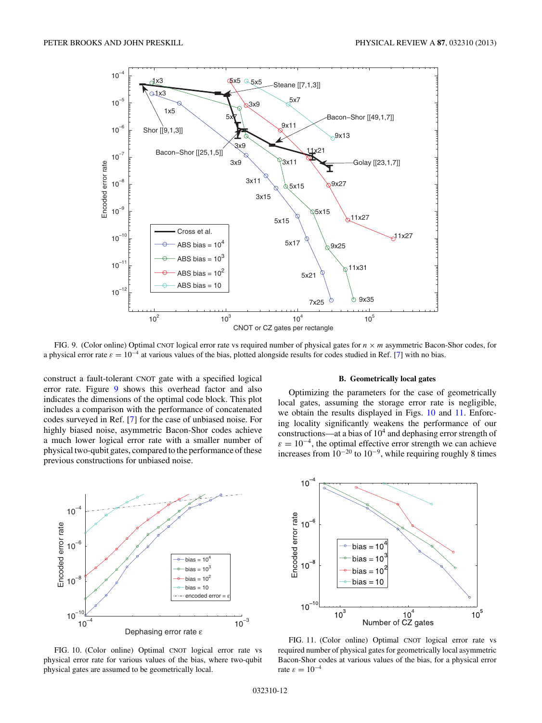<span id="page-11-0"></span>

FIG. 9. (Color online) Optimal CNOT logical error rate vs required number of physical gates for *n* × *m* asymmetric Bacon-Shor codes, for a physical error rate  $\varepsilon = 10^{-4}$  at various values of the bias, plotted alongside results for codes studied in Ref. [\[7\]](#page-15-0) with no bias.

construct a fault-tolerant CNOT gate with a specified logical error rate. Figure 9 shows this overhead factor and also indicates the dimensions of the optimal code block. This plot includes a comparison with the performance of concatenated codes surveyed in Ref. [\[7\]](#page-15-0) for the case of unbiased noise. For highly biased noise, asymmetric Bacon-Shor codes achieve a much lower logical error rate with a smaller number of physical two-qubit gates, compared to the performance of these previous constructions for unbiased noise.



Optimizing the parameters for the case of geometrically local gates, assuming the storage error rate is negligible, we obtain the results displayed in Figs. 10 and 11. Enforcing locality significantly weakens the performance of our constructions—at a bias of  $10<sup>4</sup>$  and dephasing error strength of  $\varepsilon = 10^{-4}$ , the optimal effective error strength we can achieve increases from  $10^{-20}$  to  $10^{-9}$ , while requiring roughly 8 times



FIG. 10. (Color online) Optimal CNOT logical error rate vs physical error rate for various values of the bias, where two-qubit physical gates are assumed to be geometrically local.



FIG. 11. (Color online) Optimal CNOT logical error rate vs required number of physical gates for geometrically local asymmetric Bacon-Shor codes at various values of the bias, for a physical error rate  $\varepsilon = 10^{-4}$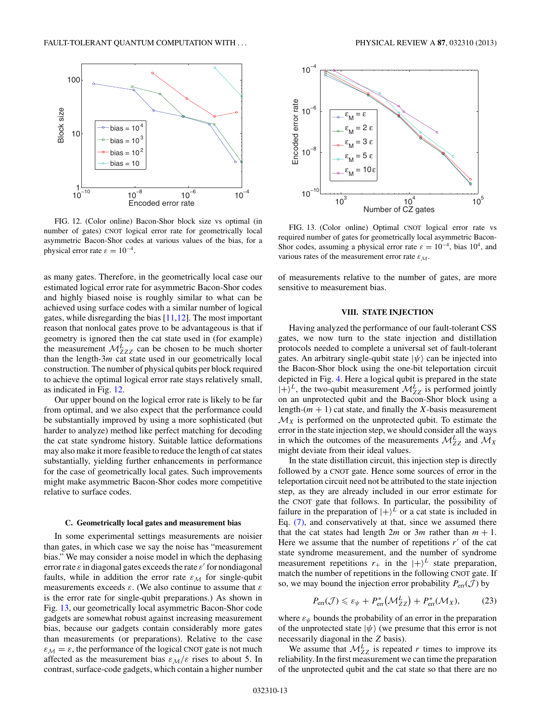<span id="page-12-0"></span>

FIG. 12. (Color online) Bacon-Shor block size vs optimal (in number of gates) CNOT logical error rate for geometrically local asymmetric Bacon-Shor codes at various values of the bias, for a physical error rate  $\varepsilon = 10^{-4}$ .

as many gates. Therefore, in the geometrically local case our estimated logical error rate for asymmetric Bacon-Shor codes and highly biased noise is roughly similar to what can be achieved using surface codes with a similar number of logical gates, while disregarding the bias [\[11,12\]](#page-15-0). The most important reason that nonlocal gates prove to be advantageous is that if geometry is ignored then the cat state used in (for example) the measurement  $\mathcal{M}_{ZZZ}^L$  can be chosen to be much shorter than the length-3*m* cat state used in our geometrically local construction. The number of physical qubits per block required to achieve the optimal logical error rate stays relatively small, as indicated in Fig. 12.

Our upper bound on the logical error rate is likely to be far from optimal, and we also expect that the performance could be substantially improved by using a more sophisticated (but harder to analyze) method like perfect matching for decoding the cat state syndrome history. Suitable lattice deformations may also make it more feasible to reduce the length of cat states substantially, yielding further enhancements in performance for the case of geometrically local gates. Such improvements might make asymmetric Bacon-Shor codes more competitive relative to surface codes.

#### **C. Geometrically local gates and measurement bias**

In some experimental settings measurements are noisier than gates, in which case we say the noise has "measurement bias." We may consider a noise model in which the dephasing error rate  $\varepsilon$  in diagonal gates exceeds the rate  $\varepsilon'$  for nondiagonal faults, while in addition the error rate  $\varepsilon_M$  for single-qubit measurements exceeds *ε*. (We also continue to assume that *ε* is the error rate for single-qubit preparations.) As shown in Fig. 13, our geometrically local asymmetric Bacon-Shor code gadgets are somewhat robust against increasing measurement bias, because our gadgets contain considerably more gates than measurements (or preparations). Relative to the case  $\varepsilon_M = \varepsilon$ , the performance of the logical CNOT gate is not much affected as the measurement bias  $\varepsilon_M/\varepsilon$  rises to about 5. In contrast, surface-code gadgets, which contain a higher number



FIG. 13. (Color online) Optimal CNOT logical error rate vs required number of gates for geometrically local asymmetric Bacon-Shor codes, assuming a physical error rate  $\varepsilon = 10^{-4}$ , bias 10<sup>4</sup>, and various rates of the measurement error rate  $\varepsilon_M$ .

of measurements relative to the number of gates, are more sensitive to measurement bias.

## **VIII. STATE INJECTION**

Having analyzed the performance of our fault-tolerant CSS gates, we now turn to the state injection and distillation protocols needed to complete a universal set of fault-tolerant gates. An arbitrary single-qubit state  $|\psi\rangle$  can be injected into the Bacon-Shor block using the one-bit teleportation circuit depicted in Fig. [4.](#page-3-0) Here a logical qubit is prepared in the state  $|+\rangle^L$ , the two-qubit measurement  $\mathcal{M}_{ZZ}^L$  is performed jointly on an unprotected qubit and the Bacon-Shor block using a length- $(m + 1)$  cat state, and finally the *X*-basis measurement  $\mathcal{M}_X$  is performed on the unprotected qubit. To estimate the error in the state injection step, we should consider all the ways in which the outcomes of the measurements  $\mathcal{M}_{ZZ}^L$  and  $\mathcal{M}_X$ might deviate from their ideal values.

In the state distillation circuit, this injection step is directly followed by a CNOT gate. Hence some sources of error in the teleportation circuit need not be attributed to the state injection step, as they are already included in our error estimate for the CNOT gate that follows. In particular, the possibility of failure in the preparation of  $|+\rangle^L$  or a cat state is included in Eq. [\(7\),](#page-6-0) and conservatively at that, since we assumed there that the cat states had length  $2m$  or  $3m$  rather than  $m + 1$ . Here we assume that the number of repetitions  $r'$  of the cat state syndrome measurement, and the number of syndrome measurement repetitions  $r_+$  in the  $|+\rangle^L$  state preparation, match the number of repetitions in the following CNOT gate. If so, we may bound the injection error probability  $P_{\text{err}}(\mathcal{J})$  by

$$
P_{\text{err}}(\mathcal{J}) \leqslant \varepsilon_{\psi} + P_{\text{err}}^{*}(\mathcal{M}_{ZZ}^{L}) + P_{\text{err}}^{*}(\mathcal{M}_{X}), \tag{23}
$$

where  $\varepsilon_{\psi}$  bounds the probability of an error in the preparation of the unprotected state  $|\psi\rangle$  (we presume that this error is not necessarily diagonal in the *Z* basis).

We assume that  $\mathcal{M}_{ZZ}^L$  is repeated *r* times to improve its reliability. In the first measurement we can time the preparation of the unprotected qubit and the cat state so that there are no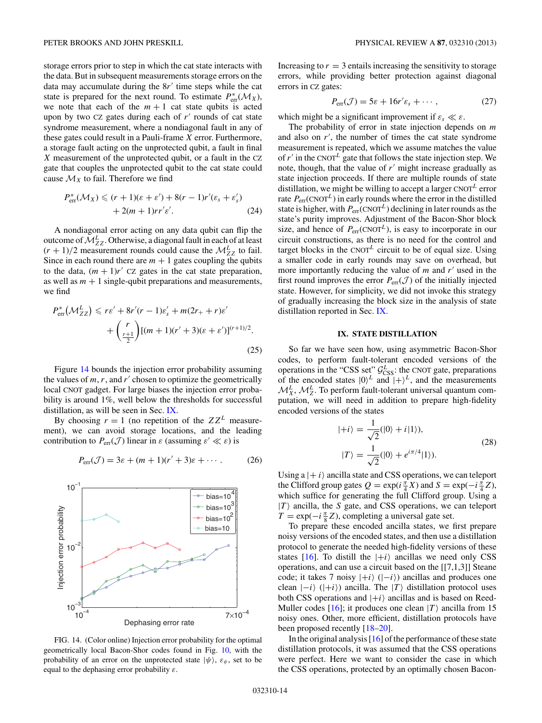<span id="page-13-0"></span>storage errors prior to step in which the cat state interacts with the data. But in subsequent measurements storage errors on the data may accumulate during the  $8r'$  time steps while the cat state is prepared for the next round. To estimate  $P_{\text{err}}^*(\mathcal{M}_X)$ , we note that each of the  $m + 1$  cat state qubits is acted upon by two CZ gates during each of r' rounds of cat state syndrome measurement, where a nondiagonal fault in any of these gates could result in a Pauli-frame *X* error. Furthermore, a storage fault acting on the unprotected qubit, a fault in final *X* measurement of the unprotected qubit, or a fault in the CZ gate that couples the unprotected qubit to the cat state could cause  $\mathcal{M}_X$  to fail. Therefore we find

$$
P_{\text{err}}^*(\mathcal{M}_X) \le (r+1)(\varepsilon + \varepsilon') + 8(r-1)r'(\varepsilon_s + \varepsilon'_s) + 2(m+1)rr'\varepsilon'.
$$
 (24)

A nondiagonal error acting on any data qubit can flip the outcome of  $\mathcal{M}_{ZZ}^L$ . Otherwise, a diagonal fault in each of at least  $(r + 1)/2$  measurement rounds could cause the  $\mathcal{M}_{ZZ}^L$  to fail. Since in each round there are  $m + 1$  gates coupling the qubits to the data,  $(m + 1)r'$  CZ gates in the cat state preparation, as well as  $m + 1$  single-qubit preparations and measurements, we find

$$
P_{\text{err}}^* \left( \mathcal{M}_{ZZ}^L \right) \leqslant r\varepsilon' + 8r'(r - 1)\varepsilon_s' + m(2r_+ + r)\varepsilon'
$$

$$
+ \left( \frac{r}{\frac{r+1}{2}} \right) [(m+1)(r'+3)(\varepsilon + \varepsilon')]^{(r+1)/2}.
$$
(25)

Figure 14 bounds the injection error probability assuming the values of  $m, r$ , and  $r'$  chosen to optimize the geometrically local CNOT gadget. For large biases the injection error probability is around 1%, well below the thresholds for successful distillation, as will be seen in Sec. IX.

By choosing  $r = 1$  (no repetition of the  $ZZ^L$  measurement), we can avoid storage locations, and the leading contribution to  $P_{\text{err}}(\mathcal{J})$  linear in  $\varepsilon$  (assuming  $\varepsilon' \ll \varepsilon$ ) is

$$
P_{\text{err}}(\mathcal{J}) = 3\varepsilon + (m+1)(r'+3)\varepsilon + \cdots
$$
 (26)



FIG. 14. (Color online) Injection error probability for the optimal geometrically local Bacon-Shor codes found in Fig. [10,](#page-11-0) with the probability of an error on the unprotected state  $|\psi\rangle$ ,  $\varepsilon_{\psi}$ , set to be equal to the dephasing error probability *ε*.

Increasing to  $r = 3$  entails increasing the sensitivity to storage errors, while providing better protection against diagonal errors in CZ gates:

$$
P_{\text{err}}(\mathcal{J}) = 5\varepsilon + 16r'\varepsilon_s + \cdots, \qquad (27)
$$

which might be a significant improvement if  $\varepsilon_s \ll \varepsilon$ .

The probability of error in state injection depends on *m* and also on *r* , the number of times the cat state syndrome measurement is repeated, which we assume matches the value of  $r'$  in the CNOT<sup>L</sup> gate that follows the state injection step. We note, though, that the value of  $r'$  might increase gradually as state injection proceeds. If there are multiple rounds of state distillation, we might be willing to accept a larger  $CNOT<sup>L</sup>$  error rate  $P_{\text{err}}(\text{CNOT}^L)$  in early rounds where the error in the distilled state is higher, with  $P_{\text{err}}(\text{CNOT}^L)$  declining in later rounds as the state's purity improves. Adjustment of the Bacon-Shor block size, and hence of  $P_{\text{err}}(\text{CNOT}^L)$ , is easy to incorporate in our circuit constructions, as there is no need for the control and target blocks in the CNOT<sup>L</sup> circuit to be of equal size. Using a smaller code in early rounds may save on overhead, but more importantly reducing the value of  $m$  and  $r'$  used in the first round improves the error  $P_{\text{err}}(\mathcal{J})$  of the initially injected state. However, for simplicity, we did not invoke this strategy of gradually increasing the block size in the analysis of state distillation reported in Sec. IX.

#### **IX. STATE DISTILLATION**

So far we have seen how, using asymmetric Bacon-Shor codes, to perform fault-tolerant encoded versions of the operations in the "CSS set"  $\mathcal{G}_{\text{CSS}}^L$ : the CNOT gate, preparations of the encoded states  $|0\rangle^L$  and  $|+\rangle^L$ , and the measurements  $\mathcal{M}_{X}^{L}$ ,  $\mathcal{M}_{Z}^{L}$ . To perform fault-tolerant universal quantum computation, we will need in addition to prepare high-fidelity encoded versions of the states

$$
|+i\rangle = \frac{1}{\sqrt{2}}(|0\rangle + i|1\rangle),
$$
  

$$
|T\rangle = \frac{1}{\sqrt{2}}(|0\rangle + e^{i\pi/4}|1\rangle).
$$
 (28)

Using  $a \mid +i$  ancilla state and CSS operations, we can teleport the Clifford group gates  $Q = \exp(i\frac{\pi}{4}X)$  and  $S = \exp(-i\frac{\pi}{4}Z)$ , which suffice for generating the full Clifford group. Using a  $|T\rangle$  ancilla, the *S* gate, and CSS operations, we can teleport  $T = \exp(-i\frac{\pi}{8}Z)$ , completing a universal gate set.

To prepare these encoded ancilla states, we first prepare noisy versions of the encoded states, and then use a distillation protocol to generate the needed high-fidelity versions of these states [\[16\]](#page-15-0). To distill the  $|+i\rangle$  ancillas we need only CSS operations, and can use a circuit based on the [[7,1,3]] Steane code; it takes 7 noisy  $|+i\rangle$  ( $|-i\rangle$ ) ancillas and produces one clean  $|-i\rangle$  ( $|+i\rangle$ ) ancilla. The  $|T\rangle$  distillation protocol uses both CSS operations and  $|+i\rangle$  ancillas and is based on Reed-Muller codes [\[16\]](#page-15-0); it produces one clean  $|T\rangle$  ancilla from 15 noisy ones. Other, more efficient, distillation protocols have been proposed recently [\[18–20\]](#page-15-0).

In the original analysis [\[16\]](#page-15-0) of the performance of these state distillation protocols, it was assumed that the CSS operations were perfect. Here we want to consider the case in which the CSS operations, protected by an optimally chosen Bacon-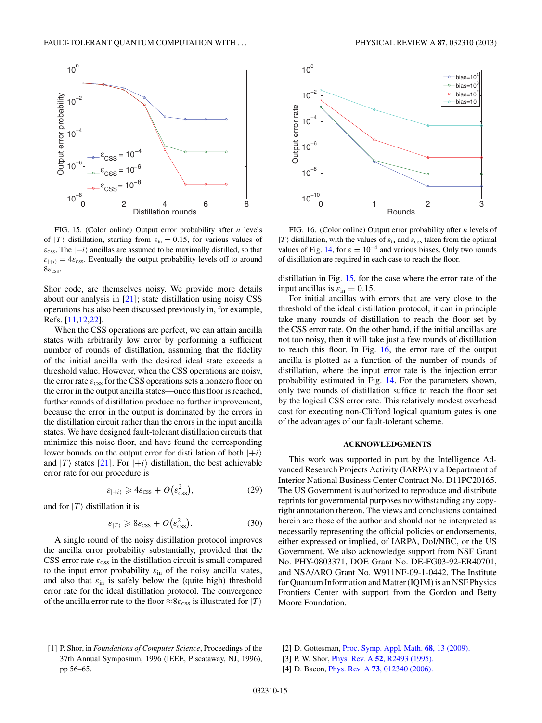<span id="page-14-0"></span>

FIG. 15. (Color online) Output error probability after *n* levels of  $|T\rangle$  distillation, starting from  $\varepsilon_{\text{in}} = 0.15$ , for various values of  $\varepsilon_{\text{CSS}}$ . The  $|+i\rangle$  ancillas are assumed to be maximally distilled, so that  $\varepsilon_{\vert+i\rangle} = 4\varepsilon_{\text{CSS}}$ . Eventually the output probability levels off to around  $8\varepsilon_{\text{CSS}}$ .

Shor code, are themselves noisy. We provide more details about our analysis in [\[21\]](#page-15-0); state distillation using noisy CSS operations has also been discussed previously in, for example, Refs. [\[11,12,22\]](#page-15-0).

When the CSS operations are perfect, we can attain ancilla states with arbitrarily low error by performing a sufficient number of rounds of distillation, assuming that the fidelity of the initial ancilla with the desired ideal state exceeds a threshold value. However, when the CSS operations are noisy, the error rate  $\varepsilon_{\text{CSS}}$  for the CSS operations sets a nonzero floor on the error in the output ancilla states—once this floor is reached, further rounds of distillation produce no further improvement, because the error in the output is dominated by the errors in the distillation circuit rather than the errors in the input ancilla states. We have designed fault-tolerant distillation circuits that minimize this noise floor, and have found the corresponding lower bounds on the output error for distillation of both  $|+i\rangle$ and  $|T\rangle$  states [\[21\]](#page-15-0). For  $|+i\rangle$  distillation, the best achievable error rate for our procedure is

$$
\varepsilon_{\left|+i\right>} \geqslant 4\varepsilon_{\text{CSS}} + O\big(\varepsilon_{\text{CSS}}^2\big),\tag{29}
$$

and for  $|T\rangle$  distillation it is

$$
\varepsilon_{|T\rangle} \geqslant 8\varepsilon_{\text{CSS}} + O\big(\varepsilon_{\text{CSS}}^2\big). \tag{30}
$$

A single round of the noisy distillation protocol improves the ancilla error probability substantially, provided that the CSS error rate  $\varepsilon_{\text{CSS}}$  in the distillation circuit is small compared to the input error probability  $\varepsilon_{\text{in}}$  of the noisy ancilla states, and also that  $\varepsilon_{\text{in}}$  is safely below the (quite high) threshold error rate for the ideal distillation protocol. The convergence of the ancilla error rate to the floor  $\approx 8\varepsilon_{\rm CSS}$  is illustrated for  $|T\rangle$ 



FIG. 16. (Color online) Output error probability after *n* levels of  $|T\rangle$  distillation, with the values of  $\varepsilon$ <sub>in</sub> and  $\varepsilon$ <sub>CSS</sub> taken from the optimal values of Fig. [14,](#page-13-0) for  $\varepsilon = 10^{-4}$  and various biases. Only two rounds of distillation are required in each case to reach the floor.

distillation in Fig. 15, for the case where the error rate of the input ancillas is  $\varepsilon_{\text{in}} = 0.15$ .

For initial ancillas with errors that are very close to the threshold of the ideal distillation protocol, it can in principle take many rounds of distillation to reach the floor set by the CSS error rate. On the other hand, if the initial ancillas are not too noisy, then it will take just a few rounds of distillation to reach this floor. In Fig. 16, the error rate of the output ancilla is plotted as a function of the number of rounds of distillation, where the input error rate is the injection error probability estimated in Fig. [14.](#page-13-0) For the parameters shown, only two rounds of distillation suffice to reach the floor set by the logical CSS error rate. This relatively modest overhead cost for executing non-Clifford logical quantum gates is one of the advantages of our fault-tolerant scheme.

#### **ACKNOWLEDGMENTS**

This work was supported in part by the Intelligence Advanced Research Projects Activity (IARPA) via Department of Interior National Business Center Contract No. D11PC20165. The US Government is authorized to reproduce and distribute reprints for governmental purposes notwithstanding any copyright annotation thereon. The views and conclusions contained herein are those of the author and should not be interpreted as necessarily representing the official policies or endorsements, either expressed or implied, of IARPA, DoI/NBC, or the US Government. We also acknowledge support from NSF Grant No. PHY-0803371, DOE Grant No. DE-FG03-92-ER40701, and NSA/ARO Grant No. W911NF-09-1-0442. The Institute for Quantum Information and Matter (IQIM) is an NSF Physics Frontiers Center with support from the Gordon and Betty Moore Foundation.

[2] D. Gottesman, [Proc. Symp. Appl. Math.](http://dx.doi.org/10.1090/psapm/068/2762145) **68**, 13 (2009).

<sup>[1]</sup> P. Shor, in *Foundations of Computer Science*, Proceedings of the 37th Annual Symposium, 1996 (IEEE, Piscataway, NJ, 1996), pp 56–65.

<sup>[3]</sup> P. W. Shor, Phys. Rev. A **52**[, R2493 \(1995\).](http://dx.doi.org/10.1103/PhysRevA.52.R2493)

<sup>[4]</sup> D. Bacon, Phys. Rev. A **73**[, 012340 \(2006\).](http://dx.doi.org/10.1103/PhysRevA.73.012340)